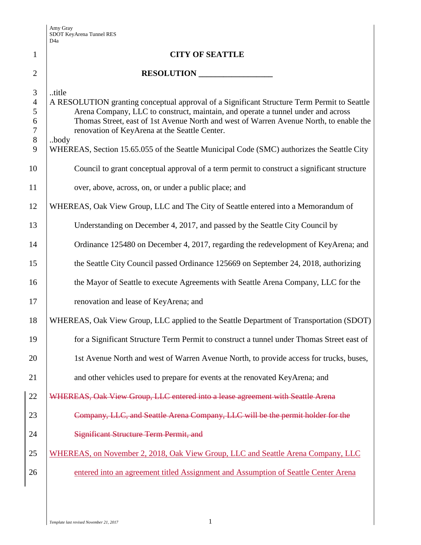|                                                                    | D <sub>4</sub> a                                                                                                                                                                                                                                                                                                                                                                                                                          |
|--------------------------------------------------------------------|-------------------------------------------------------------------------------------------------------------------------------------------------------------------------------------------------------------------------------------------------------------------------------------------------------------------------------------------------------------------------------------------------------------------------------------------|
| $\mathbf{1}$                                                       | <b>CITY OF SEATTLE</b>                                                                                                                                                                                                                                                                                                                                                                                                                    |
| $\overline{2}$                                                     | RESOLUTION                                                                                                                                                                                                                                                                                                                                                                                                                                |
| $\mathfrak{Z}$<br>$\overline{4}$<br>5<br>6<br>$\tau$<br>$8\,$<br>9 | title<br>A RESOLUTION granting conceptual approval of a Significant Structure Term Permit to Seattle<br>Arena Company, LLC to construct, maintain, and operate a tunnel under and across<br>Thomas Street, east of 1st Avenue North and west of Warren Avenue North, to enable the<br>renovation of KeyArena at the Seattle Center.<br>body<br>WHEREAS, Section 15.65.055 of the Seattle Municipal Code (SMC) authorizes the Seattle City |
| 10                                                                 | Council to grant conceptual approval of a term permit to construct a significant structure                                                                                                                                                                                                                                                                                                                                                |
| 11                                                                 | over, above, across, on, or under a public place; and                                                                                                                                                                                                                                                                                                                                                                                     |
| 12                                                                 | WHEREAS, Oak View Group, LLC and The City of Seattle entered into a Memorandum of                                                                                                                                                                                                                                                                                                                                                         |
| 13                                                                 | Understanding on December 4, 2017, and passed by the Seattle City Council by                                                                                                                                                                                                                                                                                                                                                              |
| 14                                                                 | Ordinance 125480 on December 4, 2017, regarding the redevelopment of KeyArena; and                                                                                                                                                                                                                                                                                                                                                        |
| 15                                                                 | the Seattle City Council passed Ordinance 125669 on September 24, 2018, authorizing                                                                                                                                                                                                                                                                                                                                                       |
| 16                                                                 | the Mayor of Seattle to execute Agreements with Seattle Arena Company, LLC for the                                                                                                                                                                                                                                                                                                                                                        |
| 17                                                                 | renovation and lease of KeyArena; and                                                                                                                                                                                                                                                                                                                                                                                                     |
| 18                                                                 | WHEREAS, Oak View Group, LLC applied to the Seattle Department of Transportation (SDOT)                                                                                                                                                                                                                                                                                                                                                   |
| 19                                                                 | for a Significant Structure Term Permit to construct a tunnel under Thomas Street east of                                                                                                                                                                                                                                                                                                                                                 |
| 20                                                                 | 1st Avenue North and west of Warren Avenue North, to provide access for trucks, buses,                                                                                                                                                                                                                                                                                                                                                    |
| 21                                                                 | and other vehicles used to prepare for events at the renovated KeyArena; and                                                                                                                                                                                                                                                                                                                                                              |
| 22                                                                 | WHEREAS, Oak View Group, LLC entered into a lease agreement with Seattle Arena                                                                                                                                                                                                                                                                                                                                                            |
| 23                                                                 | Company, LLC, and Seattle Arena Company, LLC will be the permit holder for the                                                                                                                                                                                                                                                                                                                                                            |
| 24                                                                 | <b>Significant Structure Term Permit, and</b>                                                                                                                                                                                                                                                                                                                                                                                             |
| 25                                                                 | WHEREAS, on November 2, 2018, Oak View Group, LLC and Seattle Arena Company, LLC                                                                                                                                                                                                                                                                                                                                                          |
| 26                                                                 | entered into an agreement titled Assignment and Assumption of Seattle Center Arena                                                                                                                                                                                                                                                                                                                                                        |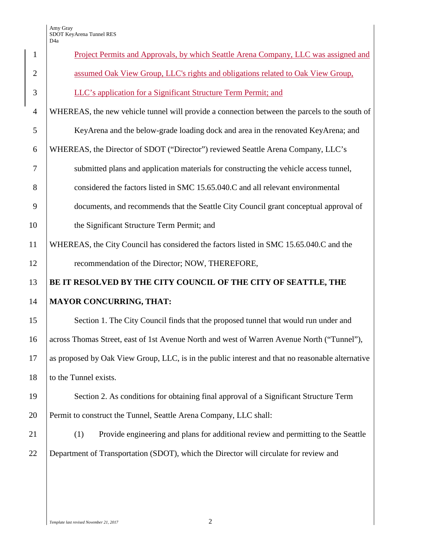## Amy Gray SDOT KeyArena Tunnel RES

|                | D <sub>4</sub> a                                                                                 |  |  |  |
|----------------|--------------------------------------------------------------------------------------------------|--|--|--|
| $\mathbf{1}$   | Project Permits and Approvals, by which Seattle Arena Company, LLC was assigned and              |  |  |  |
| $\overline{2}$ | assumed Oak View Group, LLC's rights and obligations related to Oak View Group,                  |  |  |  |
| 3              | LLC's application for a Significant Structure Term Permit; and                                   |  |  |  |
| $\overline{4}$ | WHEREAS, the new vehicle tunnel will provide a connection between the parcels to the south of    |  |  |  |
| 5              | KeyArena and the below-grade loading dock and area in the renovated KeyArena; and                |  |  |  |
| 6              | WHEREAS, the Director of SDOT ("Director") reviewed Seattle Arena Company, LLC's                 |  |  |  |
| 7              | submitted plans and application materials for constructing the vehicle access tunnel,            |  |  |  |
| 8              | considered the factors listed in SMC 15.65.040.C and all relevant environmental                  |  |  |  |
| 9              | documents, and recommends that the Seattle City Council grant conceptual approval of             |  |  |  |
| 10             | the Significant Structure Term Permit; and                                                       |  |  |  |
| 11             | WHEREAS, the City Council has considered the factors listed in SMC 15.65.040.C and the           |  |  |  |
| 12             | recommendation of the Director; NOW, THEREFORE,                                                  |  |  |  |
| 13             | BE IT RESOLVED BY THE CITY COUNCIL OF THE CITY OF SEATTLE, THE                                   |  |  |  |
| 14             | <b>MAYOR CONCURRING, THAT:</b>                                                                   |  |  |  |
| 15             | Section 1. The City Council finds that the proposed tunnel that would run under and              |  |  |  |
| 16             | across Thomas Street, east of 1st Avenue North and west of Warren Avenue North ("Tunnel"),       |  |  |  |
| 17             | as proposed by Oak View Group, LLC, is in the public interest and that no reasonable alternative |  |  |  |
| 18             | to the Tunnel exists.                                                                            |  |  |  |
| 19             | Section 2. As conditions for obtaining final approval of a Significant Structure Term            |  |  |  |
| 20             | Permit to construct the Tunnel, Seattle Arena Company, LLC shall:                                |  |  |  |
| 21             | (1)<br>Provide engineering and plans for additional review and permitting to the Seattle         |  |  |  |
| 22             | Department of Transportation (SDOT), which the Director will circulate for review and            |  |  |  |
|                |                                                                                                  |  |  |  |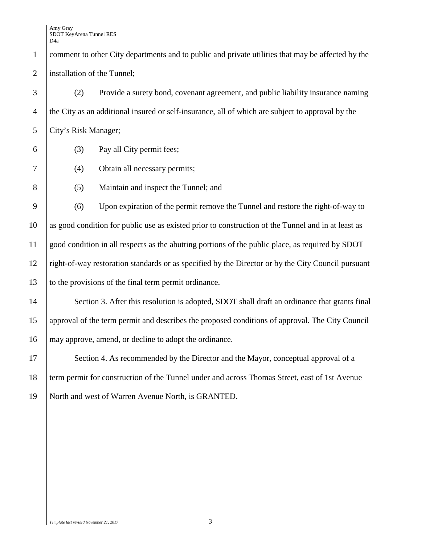Amy Gray SDOT KeyArena Tunnel RES D4a

 comment to other City departments and to public and private utilities that may be affected by the installation of the Tunnel; (2) Provide a surety bond, covenant agreement, and public liability insurance naming the City as an additional insured or self-insurance, all of which are subject to approval by the City's Risk Manager; (3) Pay all City permit fees;

- (4) Obtain all necessary permits;
- (5) Maintain and inspect the Tunnel; and

 (6) Upon expiration of the permit remove the Tunnel and restore the right-of-way to as good condition for public use as existed prior to construction of the Tunnel and in at least as good condition in all respects as the abutting portions of the public place, as required by SDOT right-of-way restoration standards or as specified by the Director or by the City Council pursuant 13 to the provisions of the final term permit ordinance.

14 Section 3. After this resolution is adopted, SDOT shall draft an ordinance that grants final approval of the term permit and describes the proposed conditions of approval. The City Council may approve, amend, or decline to adopt the ordinance.

17 Section 4. As recommended by the Director and the Mayor, conceptual approval of a term permit for construction of the Tunnel under and across Thomas Street, east of 1st Avenue North and west of Warren Avenue North, is GRANTED.